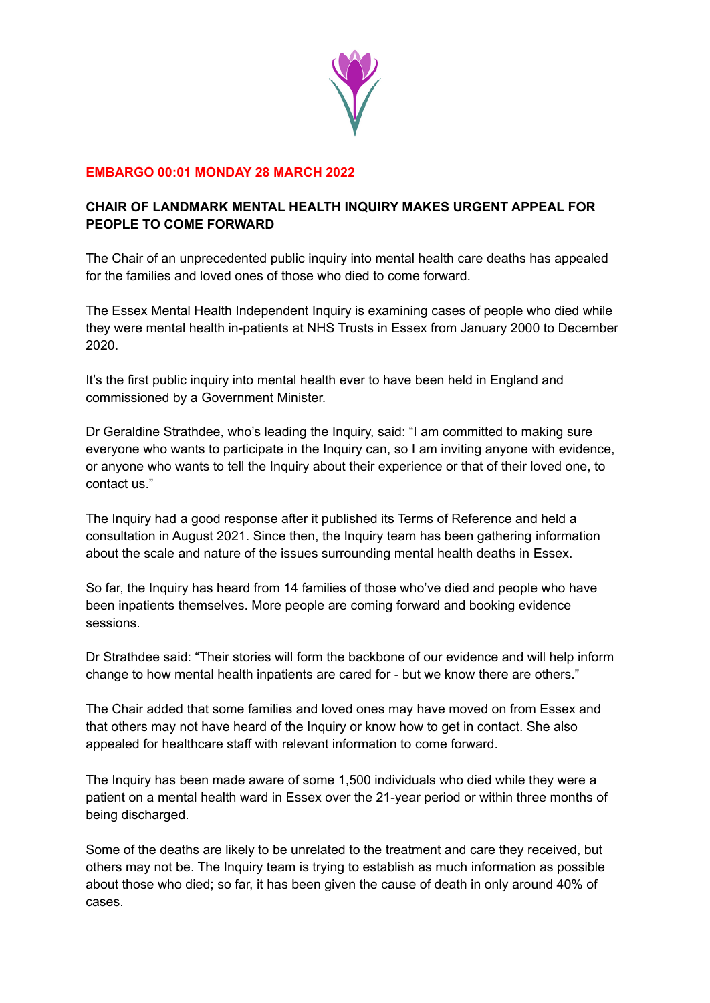

## **EMBARGO 00:01 MONDAY 28 MARCH 2022**

## **CHAIR OF LANDMARK MENTAL HEALTH INQUIRY MAKES URGENT APPEAL FOR PEOPLE TO COME FORWARD**

The Chair of an unprecedented public inquiry into mental health care deaths has appealed for the families and loved ones of those who died to come forward.

The Essex Mental Health Independent Inquiry is examining cases of people who died while they were mental health in-patients at NHS Trusts in Essex from January 2000 to December 2020.

It's the first public inquiry into mental health ever to have been held in England and commissioned by a Government Minister.

Dr Geraldine Strathdee, who's leading the Inquiry, said: "I am committed to making sure everyone who wants to participate in the Inquiry can, so I am inviting anyone with evidence, or anyone who wants to tell the Inquiry about their experience or that of their loved one, to contact us."

The Inquiry had a good response after it published its Terms of Reference and held a consultation in August 2021. Since then, the Inquiry team has been gathering information about the scale and nature of the issues surrounding mental health deaths in Essex.

So far, the Inquiry has heard from 14 families of those who've died and people who have been inpatients themselves. More people are coming forward and booking evidence sessions.

Dr Strathdee said: "Their stories will form the backbone of our evidence and will help inform change to how mental health inpatients are cared for - but we know there are others."

The Chair added that some families and loved ones may have moved on from Essex and that others may not have heard of the Inquiry or know how to get in contact. She also appealed for healthcare staff with relevant information to come forward.

The Inquiry has been made aware of some 1,500 individuals who died while they were a patient on a mental health ward in Essex over the 21-year period or within three months of being discharged.

Some of the deaths are likely to be unrelated to the treatment and care they received, but others may not be. The Inquiry team is trying to establish as much information as possible about those who died; so far, it has been given the cause of death in only around 40% of cases.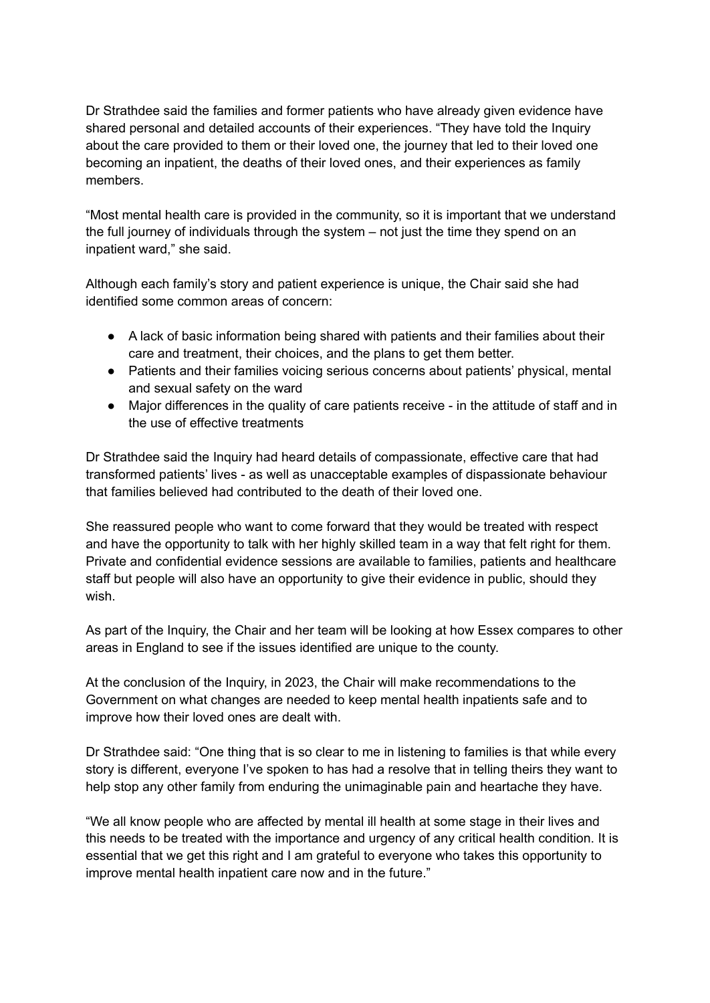Dr Strathdee said the families and former patients who have already given evidence have shared personal and detailed accounts of their experiences. "They have told the Inquiry about the care provided to them or their loved one, the journey that led to their loved one becoming an inpatient, the deaths of their loved ones, and their experiences as family members.

"Most mental health care is provided in the community, so it is important that we understand the full journey of individuals through the system – not just the time they spend on an inpatient ward," she said.

Although each family's story and patient experience is unique, the Chair said she had identified some common areas of concern:

- A lack of basic information being shared with patients and their families about their care and treatment, their choices, and the plans to get them better.
- Patients and their families voicing serious concerns about patients' physical, mental and sexual safety on the ward
- Major differences in the quality of care patients receive in the attitude of staff and in the use of effective treatments

Dr Strathdee said the Inquiry had heard details of compassionate, effective care that had transformed patients' lives - as well as unacceptable examples of dispassionate behaviour that families believed had contributed to the death of their loved one.

She reassured people who want to come forward that they would be treated with respect and have the opportunity to talk with her highly skilled team in a way that felt right for them. Private and confidential evidence sessions are available to families, patients and healthcare staff but people will also have an opportunity to give their evidence in public, should they wish.

As part of the Inquiry, the Chair and her team will be looking at how Essex compares to other areas in England to see if the issues identified are unique to the county.

At the conclusion of the Inquiry, in 2023, the Chair will make recommendations to the Government on what changes are needed to keep mental health inpatients safe and to improve how their loved ones are dealt with.

Dr Strathdee said: "One thing that is so clear to me in listening to families is that while every story is different, everyone I've spoken to has had a resolve that in telling theirs they want to help stop any other family from enduring the unimaginable pain and heartache they have.

"We all know people who are affected by mental ill health at some stage in their lives and this needs to be treated with the importance and urgency of any critical health condition. It is essential that we get this right and I am grateful to everyone who takes this opportunity to improve mental health inpatient care now and in the future."